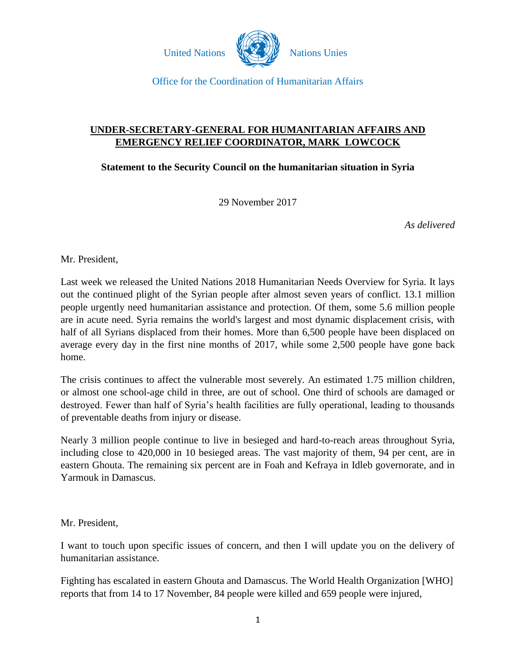

# **UNDER-SECRETARY-GENERAL FOR HUMANITARIAN AFFAIRS AND EMERGENCY RELIEF COORDINATOR, MARK LOWCOCK**

**Statement to the Security Council on the humanitarian situation in Syria**

29 November 2017

*As delivered*

Mr. President,

Last week we released the United Nations 2018 Humanitarian Needs Overview for Syria. It lays out the continued plight of the Syrian people after almost seven years of conflict. 13.1 million people urgently need humanitarian assistance and protection. Of them, some 5.6 million people are in acute need. Syria remains the world's largest and most dynamic displacement crisis, with half of all Syrians displaced from their homes. More than 6,500 people have been displaced on average every day in the first nine months of 2017, while some 2,500 people have gone back home.

The crisis continues to affect the vulnerable most severely. An estimated 1.75 million children, or almost one school-age child in three, are out of school. One third of schools are damaged or destroyed. Fewer than half of Syria's health facilities are fully operational, leading to thousands of preventable deaths from injury or disease.

Nearly 3 million people continue to live in besieged and hard-to-reach areas throughout Syria, including close to 420,000 in 10 besieged areas. The vast majority of them, 94 per cent, are in eastern Ghouta. The remaining six percent are in Foah and Kefraya in Idleb governorate, and in Yarmouk in Damascus.

Mr. President,

I want to touch upon specific issues of concern, and then I will update you on the delivery of humanitarian assistance.

Fighting has escalated in eastern Ghouta and Damascus. The World Health Organization [WHO] reports that from 14 to 17 November, 84 people were killed and 659 people were injured,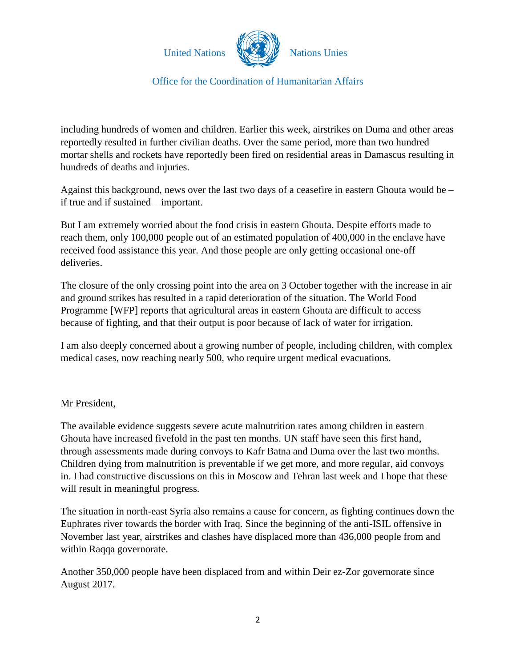

including hundreds of women and children. Earlier this week, airstrikes on Duma and other areas reportedly resulted in further civilian deaths. Over the same period, more than two hundred mortar shells and rockets have reportedly been fired on residential areas in Damascus resulting in hundreds of deaths and injuries.

Against this background, news over the last two days of a ceasefire in eastern Ghouta would be – if true and if sustained – important.

But I am extremely worried about the food crisis in eastern Ghouta. Despite efforts made to reach them, only 100,000 people out of an estimated population of 400,000 in the enclave have received food assistance this year. And those people are only getting occasional one-off deliveries.

The closure of the only crossing point into the area on 3 October together with the increase in air and ground strikes has resulted in a rapid deterioration of the situation. The World Food Programme [WFP] reports that agricultural areas in eastern Ghouta are difficult to access because of fighting, and that their output is poor because of lack of water for irrigation.

I am also deeply concerned about a growing number of people, including children, with complex medical cases, now reaching nearly 500, who require urgent medical evacuations.

## Mr President,

The available evidence suggests severe acute malnutrition rates among children in eastern Ghouta have increased fivefold in the past ten months. UN staff have seen this first hand, through assessments made during convoys to Kafr Batna and Duma over the last two months. Children dying from malnutrition is preventable if we get more, and more regular, aid convoys in. I had constructive discussions on this in Moscow and Tehran last week and I hope that these will result in meaningful progress.

The situation in north-east Syria also remains a cause for concern, as fighting continues down the Euphrates river towards the border with Iraq. Since the beginning of the anti-ISIL offensive in November last year, airstrikes and clashes have displaced more than 436,000 people from and within Raqqa governorate.

Another 350,000 people have been displaced from and within Deir ez-Zor governorate since August 2017.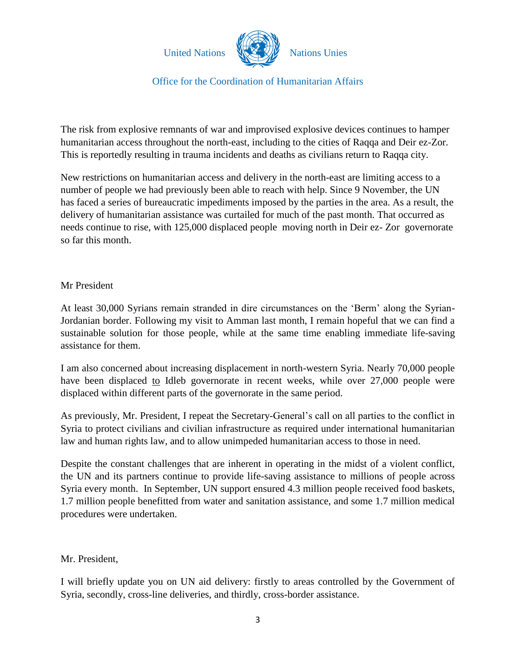

The risk from explosive remnants of war and improvised explosive devices continues to hamper humanitarian access throughout the north-east, including to the cities of Raqqa and Deir ez-Zor. This is reportedly resulting in trauma incidents and deaths as civilians return to Raqqa city.

New restrictions on humanitarian access and delivery in the north-east are limiting access to a number of people we had previously been able to reach with help. Since 9 November, the UN has faced a series of bureaucratic impediments imposed by the parties in the area. As a result, the delivery of humanitarian assistance was curtailed for much of the past month. That occurred as needs continue to rise, with 125,000 displaced people moving north in Deir ez- Zor governorate so far this month.

### Mr President

At least 30,000 Syrians remain stranded in dire circumstances on the 'Berm' along the Syrian-Jordanian border. Following my visit to Amman last month, I remain hopeful that we can find a sustainable solution for those people, while at the same time enabling immediate life-saving assistance for them.

I am also concerned about increasing displacement in north-western Syria. Nearly 70,000 people have been displaced to Idleb governorate in recent weeks, while over 27,000 people were displaced within different parts of the governorate in the same period.

As previously, Mr. President, I repeat the Secretary-General's call on all parties to the conflict in Syria to protect civilians and civilian infrastructure as required under international humanitarian law and human rights law, and to allow unimpeded humanitarian access to those in need.

Despite the constant challenges that are inherent in operating in the midst of a violent conflict, the UN and its partners continue to provide life-saving assistance to millions of people across Syria every month. In September, UN support ensured 4.3 million people received food baskets, 1.7 million people benefitted from water and sanitation assistance, and some 1.7 million medical procedures were undertaken.

## Mr. President,

I will briefly update you on UN aid delivery: firstly to areas controlled by the Government of Syria, secondly, cross-line deliveries, and thirdly, cross-border assistance.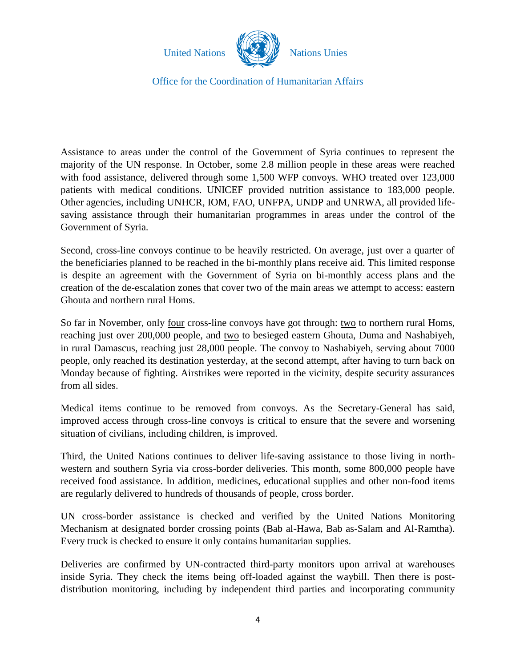

Assistance to areas under the control of the Government of Syria continues to represent the majority of the UN response. In October, some 2.8 million people in these areas were reached with food assistance, delivered through some 1,500 WFP convoys. WHO treated over 123,000 patients with medical conditions. UNICEF provided nutrition assistance to 183,000 people. Other agencies, including UNHCR, IOM, FAO, UNFPA, UNDP and UNRWA, all provided lifesaving assistance through their humanitarian programmes in areas under the control of the Government of Syria.

Second, cross-line convoys continue to be heavily restricted. On average, just over a quarter of the beneficiaries planned to be reached in the bi-monthly plans receive aid. This limited response is despite an agreement with the Government of Syria on bi-monthly access plans and the creation of the de-escalation zones that cover two of the main areas we attempt to access: eastern Ghouta and northern rural Homs.

So far in November, only <u>four</u> cross-line convoys have got through: <u>two</u> to northern rural Homs, reaching just over 200,000 people, and two to besieged eastern Ghouta, Duma and Nashabiyeh, in rural Damascus, reaching just 28,000 people. The convoy to Nashabiyeh, serving about 7000 people, only reached its destination yesterday, at the second attempt, after having to turn back on Monday because of fighting. Airstrikes were reported in the vicinity, despite security assurances from all sides.

Medical items continue to be removed from convoys. As the Secretary-General has said, improved access through cross-line convoys is critical to ensure that the severe and worsening situation of civilians, including children, is improved.

Third, the United Nations continues to deliver life-saving assistance to those living in northwestern and southern Syria via cross-border deliveries. This month, some 800,000 people have received food assistance. In addition, medicines, educational supplies and other non-food items are regularly delivered to hundreds of thousands of people, cross border.

UN cross-border assistance is checked and verified by the United Nations Monitoring Mechanism at designated border crossing points (Bab al-Hawa, Bab as-Salam and Al-Ramtha). Every truck is checked to ensure it only contains humanitarian supplies.

Deliveries are confirmed by UN-contracted third-party monitors upon arrival at warehouses inside Syria. They check the items being off-loaded against the waybill. Then there is postdistribution monitoring, including by independent third parties and incorporating community